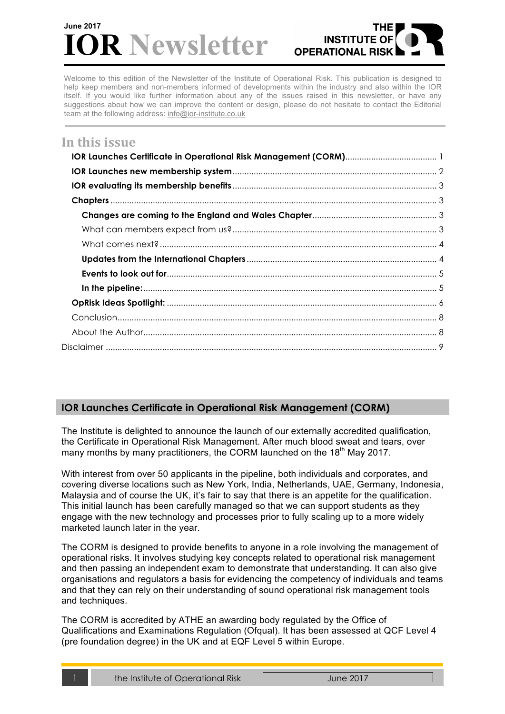# **R** Newsletter **June 2017**



Welcome to this edition of the Newsletter of the Institute of Operational Risk. This publication is designed to help keep members and non-members informed of developments within the industry and also within the IOR itself. If you would like further information about any of the issues raised in this newsletter, or have any suggestions about how we can improve the content or design, please do not hesitate to contact the Editorial team at the following address: info@ior-institute.co.uk

# In this issue

# **IOR Launches Certificate in Operational Risk Management (CORM)**

The Institute is delighted to announce the launch of our externally accredited qualification, the Certificate in Operational Risk Management. After much blood sweat and tears, over many months by many practitioners, the CORM launched on the 18<sup>th</sup> May 2017.

With interest from over 50 applicants in the pipeline, both individuals and corporates, and covering diverse locations such as New York, India, Netherlands, UAE, Germany, Indonesia, Malaysia and of course the UK, it's fair to say that there is an appetite for the qualification. This initial launch has been carefully managed so that we can support students as they engage with the new technology and processes prior to fully scaling up to a more widely marketed launch later in the year.

The CORM is designed to provide benefits to anyone in a role involving the management of operational risks. It involves studying key concepts related to operational risk management and then passing an independent exam to demonstrate that understanding. It can also give organisations and regulators a basis for evidencing the competency of individuals and teams and that they can rely on their understanding of sound operational risk management tools and techniques.

The CORM is accredited by ATHE an awarding body regulated by the Office of Qualifications and Examinations Regulation (Ofqual). It has been assessed at QCF Level 4 (pre foundation degree) in the UK and at EQF Level 5 within Europe.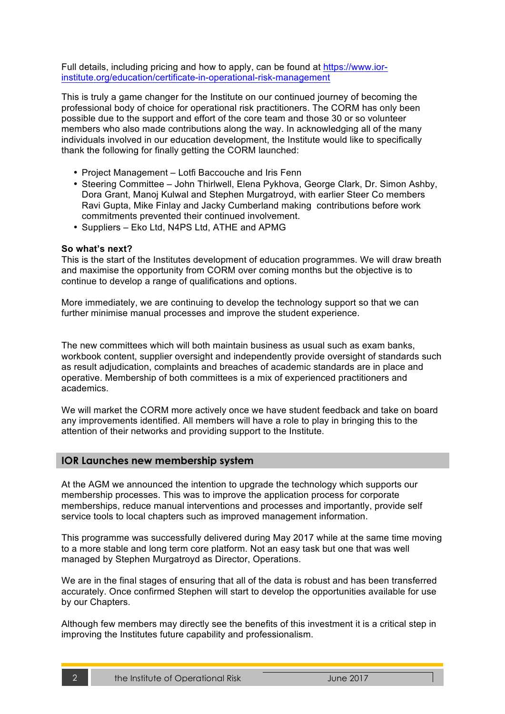Full details, including pricing and how to apply, can be found at https://www.iorinstitute.org/education/certificate-in-operational-risk-management

This is truly a game changer for the Institute on our continued journey of becoming the professional body of choice for operational risk practitioners. The CORM has only been possible due to the support and effort of the core team and those 30 or so volunteer members who also made contributions along the way. In acknowledging all of the many individuals involved in our education development, the Institute would like to specifically thank the following for finally getting the CORM launched:

- Project Management Lotfi Baccouche and Iris Fenn
- Steering Committee John Thirlwell, Elena Pykhova, George Clark, Dr. Simon Ashby, Dora Grant, Manoj Kulwal and Stephen Murgatroyd, with earlier Steer Co members Ravi Gupta, Mike Finlay and Jacky Cumberland making contributions before work commitments prevented their continued involvement.
- Suppliers Eko Ltd, N4PS Ltd, ATHE and APMG

#### **So what's next?**

This is the start of the Institutes development of education programmes. We will draw breath and maximise the opportunity from CORM over coming months but the objective is to continue to develop a range of qualifications and options.

More immediately, we are continuing to develop the technology support so that we can further minimise manual processes and improve the student experience.

The new committees which will both maintain business as usual such as exam banks, workbook content, supplier oversight and independently provide oversight of standards such as result adjudication, complaints and breaches of academic standards are in place and operative. Membership of both committees is a mix of experienced practitioners and academics.

We will market the CORM more actively once we have student feedback and take on board any improvements identified. All members will have a role to play in bringing this to the attention of their networks and providing support to the Institute.

### **IOR Launches new membership system**

At the AGM we announced the intention to upgrade the technology which supports our membership processes. This was to improve the application process for corporate memberships, reduce manual interventions and processes and importantly, provide self service tools to local chapters such as improved management information.

This programme was successfully delivered during May 2017 while at the same time moving to a more stable and long term core platform. Not an easy task but one that was well managed by Stephen Murgatroyd as Director, Operations.

We are in the final stages of ensuring that all of the data is robust and has been transferred accurately. Once confirmed Stephen will start to develop the opportunities available for use by our Chapters.

Although few members may directly see the benefits of this investment it is a critical step in improving the Institutes future capability and professionalism.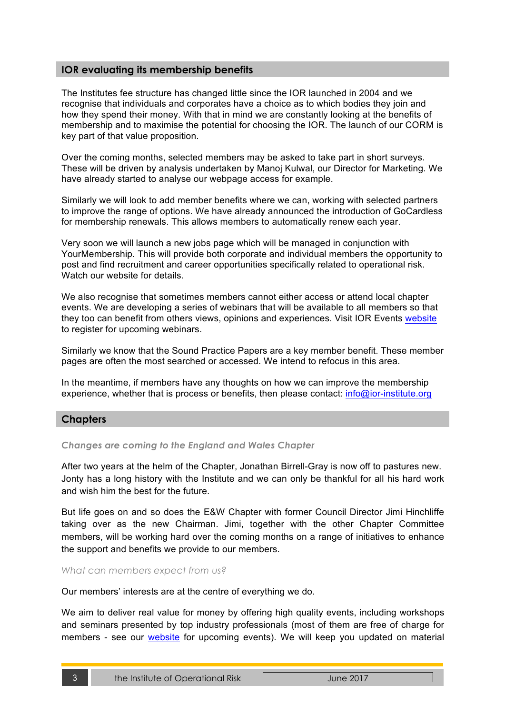## **IOR evaluating its membership benefits**

The Institutes fee structure has changed little since the IOR launched in 2004 and we recognise that individuals and corporates have a choice as to which bodies they join and how they spend their money. With that in mind we are constantly looking at the benefits of membership and to maximise the potential for choosing the IOR. The launch of our CORM is key part of that value proposition.

Over the coming months, selected members may be asked to take part in short surveys. These will be driven by analysis undertaken by Manoj Kulwal, our Director for Marketing. We have already started to analyse our webpage access for example.

Similarly we will look to add member benefits where we can, working with selected partners to improve the range of options. We have already announced the introduction of GoCardless for membership renewals. This allows members to automatically renew each year.

Very soon we will launch a new jobs page which will be managed in conjunction with YourMembership. This will provide both corporate and individual members the opportunity to post and find recruitment and career opportunities specifically related to operational risk. Watch our website for details.

We also recognise that sometimes members cannot either access or attend local chapter events. We are developing a series of webinars that will be available to all members so that they too can benefit from others views, opinions and experiences. Visit IOR Events website to register for upcoming webinars.

Similarly we know that the Sound Practice Papers are a key member benefit. These member pages are often the most searched or accessed. We intend to refocus in this area.

In the meantime, if members have any thoughts on how we can improve the membership experience, whether that is process or benefits, then please contact: info@ior-institute.org

# **Chapters**

### *Changes are coming to the England and Wales Chapter*

After two years at the helm of the Chapter, Jonathan Birrell-Gray is now off to pastures new. Jonty has a long history with the Institute and we can only be thankful for all his hard work and wish him the best for the future.

But life goes on and so does the E&W Chapter with former Council Director Jimi Hinchliffe taking over as the new Chairman. Jimi, together with the other Chapter Committee members, will be working hard over the coming months on a range of initiatives to enhance the support and benefits we provide to our members.

*What can members expect from us?*

Our members' interests are at the centre of everything we do.

We aim to deliver real value for money by offering high quality events, including workshops and seminars presented by top industry professionals (most of them are free of charge for members - see our website for upcoming events). We will keep you updated on material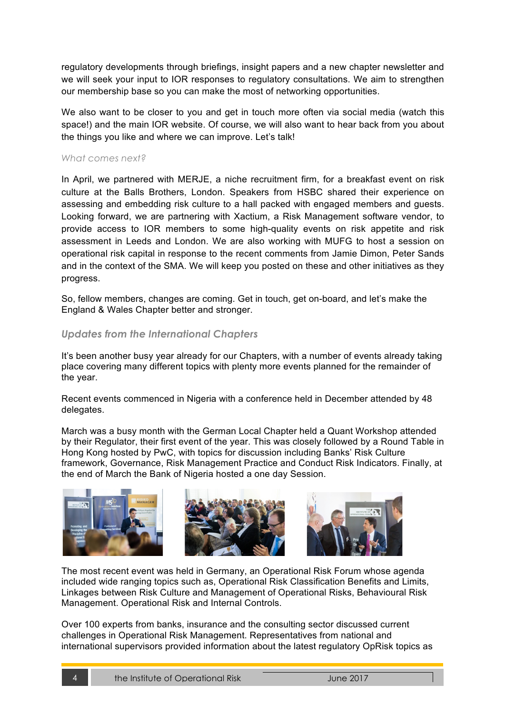regulatory developments through briefings, insight papers and a new chapter newsletter and we will seek your input to IOR responses to regulatory consultations. We aim to strengthen our membership base so you can make the most of networking opportunities.

We also want to be closer to you and get in touch more often via social media (watch this space!) and the main IOR website. Of course, we will also want to hear back from you about the things you like and where we can improve. Let's talk!

### *What comes next?*

In April, we partnered with MERJE, a niche recruitment firm, for a breakfast event on risk culture at the Balls Brothers, London. Speakers from HSBC shared their experience on assessing and embedding risk culture to a hall packed with engaged members and guests. Looking forward, we are partnering with Xactium, a Risk Management software vendor, to provide access to IOR members to some high-quality events on risk appetite and risk assessment in Leeds and London. We are also working with MUFG to host a session on operational risk capital in response to the recent comments from Jamie Dimon, Peter Sands and in the context of the SMA. We will keep you posted on these and other initiatives as they progress.

So, fellow members, changes are coming. Get in touch, get on-board, and let's make the England & Wales Chapter better and stronger.

### *Updates from the International Chapters*

It's been another busy year already for our Chapters, with a number of events already taking place covering many different topics with plenty more events planned for the remainder of the year.

Recent events commenced in Nigeria with a conference held in December attended by 48 delegates.

March was a busy month with the German Local Chapter held a Quant Workshop attended by their Regulator, their first event of the year. This was closely followed by a Round Table in Hong Kong hosted by PwC, with topics for discussion including Banks' Risk Culture framework, Governance, Risk Management Practice and Conduct Risk Indicators. Finally, at the end of March the Bank of Nigeria hosted a one day Session.



The most recent event was held in Germany, an Operational Risk Forum whose agenda included wide ranging topics such as, Operational Risk Classification Benefits and Limits, Linkages between Risk Culture and Management of Operational Risks, Behavioural Risk Management. Operational Risk and Internal Controls.

Over 100 experts from banks, insurance and the consulting sector discussed current challenges in Operational Risk Management. Representatives from national and international supervisors provided information about the latest regulatory OpRisk topics as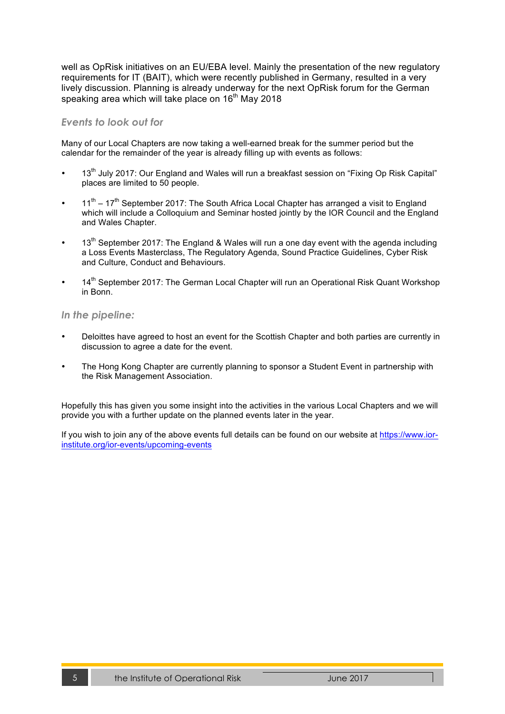well as OpRisk initiatives on an EU/EBA level. Mainly the presentation of the new regulatory requirements for IT (BAIT), which were recently published in Germany, resulted in a very lively discussion. Planning is already underway for the next OpRisk forum for the German speaking area which will take place on 16<sup>th</sup> May 2018

### *Events to look out for*

Many of our Local Chapters are now taking a well-earned break for the summer period but the calendar for the remainder of the year is already filling up with events as follows:

- 13<sup>th</sup> July 2017: Our England and Wales will run a breakfast session on "Fixing Op Risk Capital" places are limited to 50 people.
- $11<sup>th</sup> 17<sup>th</sup>$  September 2017: The South Africa Local Chapter has arranged a visit to England which will include a Colloquium and Seminar hosted jointly by the IOR Council and the England and Wales Chapter.
- $13<sup>th</sup>$  September 2017: The England & Wales will run a one day event with the agenda including a Loss Events Masterclass, The Regulatory Agenda, Sound Practice Guidelines, Cyber Risk and Culture, Conduct and Behaviours.
- 14<sup>th</sup> September 2017: The German Local Chapter will run an Operational Risk Quant Workshop in Bonn.

#### *In the pipeline:*

- Deloittes have agreed to host an event for the Scottish Chapter and both parties are currently in discussion to agree a date for the event.
- The Hong Kong Chapter are currently planning to sponsor a Student Event in partnership with the Risk Management Association.

Hopefully this has given you some insight into the activities in the various Local Chapters and we will provide you with a further update on the planned events later in the year.

If you wish to join any of the above events full details can be found on our website at https://www.iorinstitute.org/ior-events/upcoming-events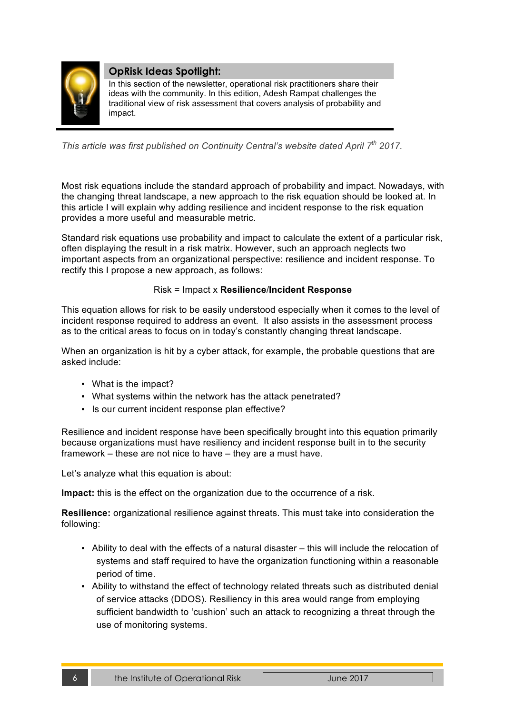

# **OpRisk Ideas Spotlight:**

In this section of the newsletter, operational risk practitioners share their ideas with the community. In this edition, Adesh Rampat challenges the traditional view of risk assessment that covers analysis of probability and impact.

*This article was first published on Continuity Central's website dated April 7th 2017.*

Most risk equations include the standard approach of probability and impact. Nowadays, with the changing threat landscape, a new approach to the risk equation should be looked at. In this article I will explain why adding resilience and incident response to the risk equation provides a more useful and measurable metric.

Standard risk equations use probability and impact to calculate the extent of a particular risk, often displaying the result in a risk matrix. However, such an approach neglects two important aspects from an organizational perspective: resilience and incident response. To rectify this I propose a new approach, as follows:

### Risk = Impact x **Resilience**/**Incident Response**

This equation allows for risk to be easily understood especially when it comes to the level of incident response required to address an event. It also assists in the assessment process as to the critical areas to focus on in today's constantly changing threat landscape.

When an organization is hit by a cyber attack, for example, the probable questions that are asked include:

- What is the impact?
- What systems within the network has the attack penetrated?
- Is our current incident response plan effective?

Resilience and incident response have been specifically brought into this equation primarily because organizations must have resiliency and incident response built in to the security framework – these are not nice to have – they are a must have.

Let's analyze what this equation is about:

**Impact:** this is the effect on the organization due to the occurrence of a risk.

**Resilience:** organizational resilience against threats. This must take into consideration the following:

- Ability to deal with the effects of a natural disaster this will include the relocation of systems and staff required to have the organization functioning within a reasonable period of time.
- Ability to withstand the effect of technology related threats such as distributed denial of service attacks (DDOS). Resiliency in this area would range from employing sufficient bandwidth to 'cushion' such an attack to recognizing a threat through the use of monitoring systems.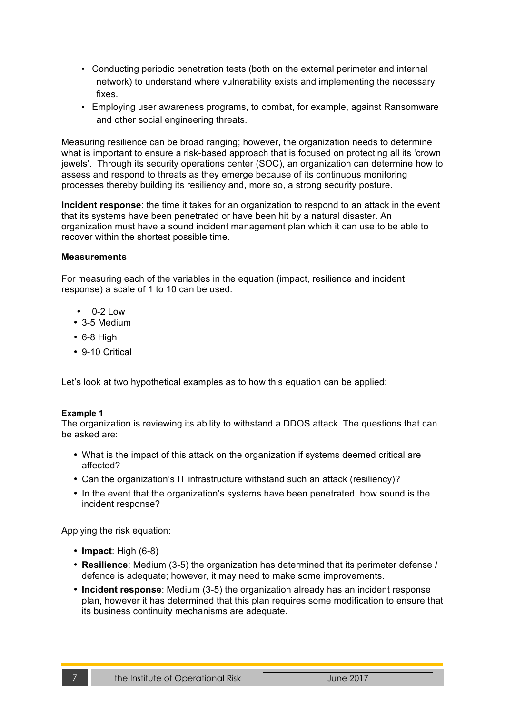- Conducting periodic penetration tests (both on the external perimeter and internal network) to understand where vulnerability exists and implementing the necessary fixes.
- Employing user awareness programs, to combat, for example, against Ransomware and other social engineering threats.

Measuring resilience can be broad ranging; however, the organization needs to determine what is important to ensure a risk-based approach that is focused on protecting all its 'crown jewels'. Through its security operations center (SOC), an organization can determine how to assess and respond to threats as they emerge because of its continuous monitoring processes thereby building its resiliency and, more so, a strong security posture.

**Incident response**: the time it takes for an organization to respond to an attack in the event that its systems have been penetrated or have been hit by a natural disaster. An organization must have a sound incident management plan which it can use to be able to recover within the shortest possible time.

#### **Measurements**

For measuring each of the variables in the equation (impact, resilience and incident response) a scale of 1 to 10 can be used:

- $\cdot$  0-2 Low
- 3-5 Medium
- 6-8 High
- 9-10 Critical

Let's look at two hypothetical examples as to how this equation can be applied:

#### **Example 1**

The organization is reviewing its ability to withstand a DDOS attack. The questions that can be asked are:

- What is the impact of this attack on the organization if systems deemed critical are affected?
- Can the organization's IT infrastructure withstand such an attack (resiliency)?
- In the event that the organization's systems have been penetrated, how sound is the incident response?

Applying the risk equation:

- **Impact**: High (6-8)
- **Resilience**: Medium (3-5) the organization has determined that its perimeter defense / defence is adequate; however, it may need to make some improvements.
- **Incident response**: Medium (3-5) the organization already has an incident response plan, however it has determined that this plan requires some modification to ensure that its business continuity mechanisms are adequate.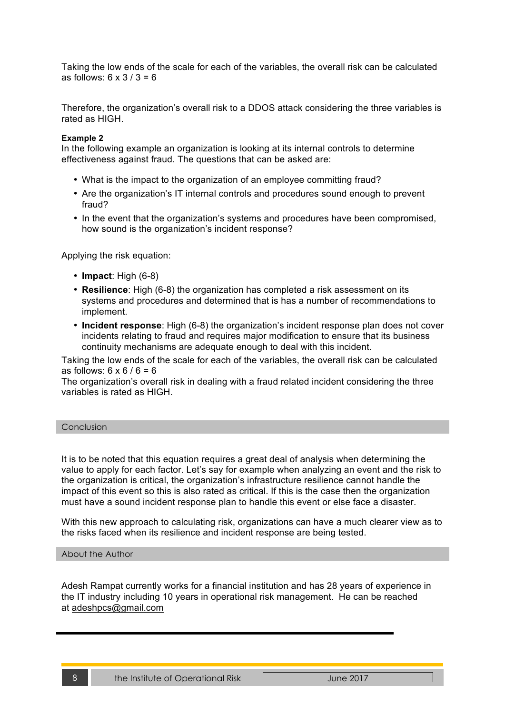Taking the low ends of the scale for each of the variables, the overall risk can be calculated as follows:  $6 \times 3 / 3 = 6$ 

Therefore, the organization's overall risk to a DDOS attack considering the three variables is rated as HIGH.

#### **Example 2**

In the following example an organization is looking at its internal controls to determine effectiveness against fraud. The questions that can be asked are:

- What is the impact to the organization of an employee committing fraud?
- Are the organization's IT internal controls and procedures sound enough to prevent fraud?
- In the event that the organization's systems and procedures have been compromised, how sound is the organization's incident response?

Applying the risk equation:

- **Impact**: High (6-8)
- **Resilience**: High (6-8) the organization has completed a risk assessment on its systems and procedures and determined that is has a number of recommendations to implement.
- **Incident response**: High (6-8) the organization's incident response plan does not cover incidents relating to fraud and requires major modification to ensure that its business continuity mechanisms are adequate enough to deal with this incident.

Taking the low ends of the scale for each of the variables, the overall risk can be calculated as follows:  $6 \times 6 / 6 = 6$ 

The organization's overall risk in dealing with a fraud related incident considering the three variables is rated as HIGH.

#### **Conclusion**

It is to be noted that this equation requires a great deal of analysis when determining the value to apply for each factor. Let's say for example when analyzing an event and the risk to the organization is critical, the organization's infrastructure resilience cannot handle the impact of this event so this is also rated as critical. If this is the case then the organization must have a sound incident response plan to handle this event or else face a disaster.

With this new approach to calculating risk, organizations can have a much clearer view as to the risks faced when its resilience and incident response are being tested.

#### About the Author

Adesh Rampat currently works for a financial institution and has 28 years of experience in the IT industry including 10 years in operational risk management. He can be reached at adeshpcs@gmail.com